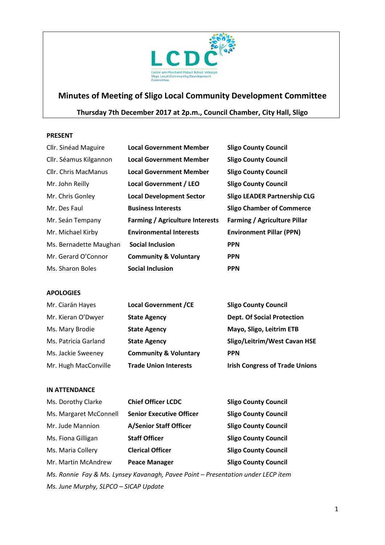

# **Minutes of Meeting of Sligo Local Community Development Committee**

# **Thursday 7th December 2017 at 2p.m., Council Chamber, City Hall, Sligo**

#### **PRESENT**

| Cllr. Sinéad Maguire        | <b>Local Government Member</b>         | <b>Sligo County Council</b>         |
|-----------------------------|----------------------------------------|-------------------------------------|
| Cllr. Séamus Kilgannon      | <b>Local Government Member</b>         | <b>Sligo County Council</b>         |
| <b>Cllr.</b> Chris MacManus | <b>Local Government Member</b>         | <b>Sligo County Council</b>         |
| Mr. John Reilly             | Local Government / LEO                 | <b>Sligo County Council</b>         |
| Mr. Chris Gonley            | <b>Local Development Sector</b>        | <b>Sligo LEADER Partnership CLG</b> |
| Mr. Des Faul                | <b>Business Interests</b>              | <b>Sligo Chamber of Commerce</b>    |
| Mr. Seán Tempany            | <b>Farming / Agriculture Interests</b> | <b>Farming / Agriculture Pillar</b> |
| Mr. Michael Kirby           | <b>Environmental Interests</b>         | <b>Environment Pillar (PPN)</b>     |
| Ms. Bernadette Maughan      | <b>Social Inclusion</b>                | <b>PPN</b>                          |
| Mr. Gerard O'Connor         | <b>Community &amp; Voluntary</b>       | <b>PPN</b>                          |
| Ms. Sharon Boles            | <b>Social Inclusion</b>                | <b>PPN</b>                          |

#### **APOLOGIES**

| Mr. Ciarán Hayes     | <b>Local Government /CE</b>      | <b>Sligo County Council</b>           |
|----------------------|----------------------------------|---------------------------------------|
| Mr. Kieran O'Dwyer   | <b>State Agency</b>              | <b>Dept. Of Social Protection</b>     |
| Ms. Mary Brodie      | <b>State Agency</b>              | Mayo, Sligo, Leitrim ETB              |
| Ms. Patricia Garland | <b>State Agency</b>              | Sligo/Leitrim/West Cavan HSE          |
| Ms. Jackie Sweeney   | <b>Community &amp; Voluntary</b> | <b>PPN</b>                            |
| Mr. Hugh MacConville | <b>Trade Union Interests</b>     | <b>Irish Congress of Trade Unions</b> |

#### **IN ATTENDANCE**

| Ms. Dorothy Clarke     | <b>Chief Officer LCDC</b>                                                        | <b>Sligo County Council</b> |
|------------------------|----------------------------------------------------------------------------------|-----------------------------|
| Ms. Margaret McConnell | <b>Senior Executive Officer</b>                                                  | <b>Sligo County Council</b> |
| Mr. Jude Mannion       | <b>A/Senior Staff Officer</b>                                                    | <b>Sligo County Council</b> |
| Ms. Fiona Gilligan     | <b>Staff Officer</b>                                                             | <b>Sligo County Council</b> |
| Ms. Maria Collery      | <b>Clerical Officer</b>                                                          | <b>Sligo County Council</b> |
| Mr. Martin McAndrew    | <b>Peace Manager</b>                                                             | <b>Sligo County Council</b> |
|                        | Ms. Ronnie Fay & Ms. Lynsey Kavanagh, Pavee Point - Presentation under LECP item |                             |

*Ms. June Murphy, SLPCO – SICAP Update*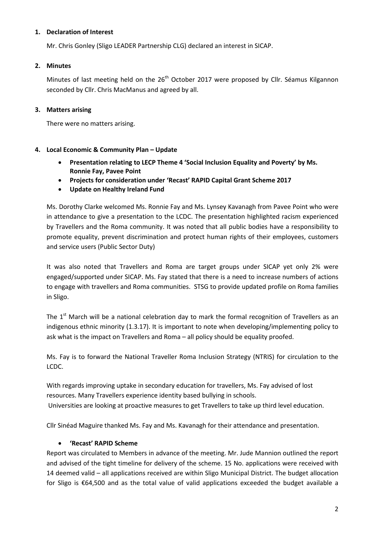#### **1. Declaration of Interest**

Mr. Chris Gonley (Sligo LEADER Partnership CLG) declared an interest in SICAP.

### **2. Minutes**

Minutes of last meeting held on the  $26<sup>th</sup>$  October 2017 were proposed by Cllr. Séamus Kilgannon seconded by Cllr. Chris MacManus and agreed by all.

## **3. Matters arising**

There were no matters arising.

## **4. Local Economic & Community Plan – Update**

- **Presentation relating to LECP Theme 4 'Social Inclusion Equality and Poverty' by Ms. Ronnie Fay, Pavee Point**
- **Projects for consideration under 'Recast' RAPID Capital Grant Scheme 2017**
- **Update on Healthy Ireland Fund**

Ms. Dorothy Clarke welcomed Ms. Ronnie Fay and Ms. Lynsey Kavanagh from Pavee Point who were in attendance to give a presentation to the LCDC. The presentation highlighted racism experienced by Travellers and the Roma community. It was noted that all public bodies have a responsibility to promote equality, prevent discrimination and protect human rights of their employees, customers and service users (Public Sector Duty)

It was also noted that Travellers and Roma are target groups under SICAP yet only 2% were engaged/supported under SICAP. Ms. Fay stated that there is a need to increase numbers of actions to engage with travellers and Roma communities. STSG to provide updated profile on Roma families in Sligo.

The  $1<sup>st</sup>$  March will be a national celebration day to mark the formal recognition of Travellers as an indigenous ethnic minority (1.3.17). It is important to note when developing/implementing policy to ask what is the impact on Travellers and Roma – all policy should be equality proofed.

Ms. Fay is to forward the National Traveller Roma Inclusion Strategy (NTRIS) for circulation to the LCDC.

With regards improving uptake in secondary education for travellers, Ms. Fay advised of lost resources. Many Travellers experience identity based bullying in schools. Universities are looking at proactive measures to get Travellers to take up third level education.

Cllr Sinéad Maguire thanked Ms. Fay and Ms. Kavanagh for their attendance and presentation.

## • **'Recast' RAPID Scheme**

Report was circulated to Members in advance of the meeting. Mr. Jude Mannion outlined the report and advised of the tight timeline for delivery of the scheme. 15 No. applications were received with 14 deemed valid – all applications received are within Sligo Municipal District. The budget allocation for Sligo is €64,500 and as the total value of valid applications exceeded the budget available a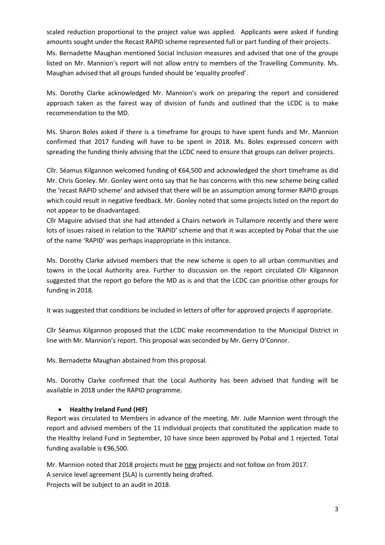scaled reduction proportional to the project value was applied. Applicants were asked if funding amounts sought under the Recast RAPID scheme represented full or part funding of their projects.

Ms. Bernadette Maughan mentioned Social Inclusion measures and advised that one of the groups listed on Mr. Mannion's report will not allow entry to members of the Travelling Community. Ms. Maughan advised that all groups funded should be 'equality proofed'.

Ms. Dorothy Clarke acknowledged Mr. Mannion's work on preparing the report and considered approach taken as the fairest way of division of funds and outlined that the LCDC is to make recommendation to the MD.

Ms. Sharon Boles asked if there is a timeframe for groups to have spent funds and Mr. Mannion confirmed that 2017 funding will have to be spent in 2018. Ms. Boles expressed concern with spreading the funding thinly advising that the LCDC need to ensure that groups can deliver projects.

Cllr. Séamus Kilgannon welcomed funding of €64,500 and acknowledged the short timeframe as did Mr. Chris Gonley. Mr. Gonley went onto say that he has concerns with this new scheme being called the 'recast RAPID scheme' and advised that there will be an assumption among former RAPID groups which could result in negative feedback. Mr. Gonley noted that some projects listed on the report do not appear to be disadvantaged.

Cllr Maguire advised that she had attended a Chairs network in Tullamore recently and there were lots of issues raised in relation to the 'RAPID' scheme and that it was accepted by Pobal that the use of the name 'RAPID' was perhaps inappropriate in this instance.

Ms. Dorothy Clarke advised members that the new scheme is open to all urban communities and towns in the Local Authority area. Further to discussion on the report circulated Cllr Kilgannon suggested that the report go before the MD as is and that the LCDC can prioritise other groups for funding in 2018.

It was suggested that conditions be included in letters of offer for approved projects if appropriate.

Cllr Séamus Kilgannon proposed that the LCDC make recommendation to the Municipal District in line with Mr. Mannion's report. This proposal was seconded by Mr. Gerry O'Connor.

Ms. Bernadette Maughan abstained from this proposal.

Ms. Dorothy Clarke confirmed that the Local Authority has been advised that funding will be available in 2018 under the RAPID programme.

#### • **Healthy Ireland Fund (HIF)**

Report was circulated to Members in advance of the meeting. Mr. Jude Mannion went through the report and advised members of the 11 individual projects that constituted the application made to the Healthy Ireland Fund in September, 10 have since been approved by Pobal and 1 rejected. Total funding available is €96,500.

Mr. Mannion noted that 2018 projects must be new projects and not follow on from 2017. A service level agreement (SLA) is currently being drafted. Projects will be subject to an audit in 2018.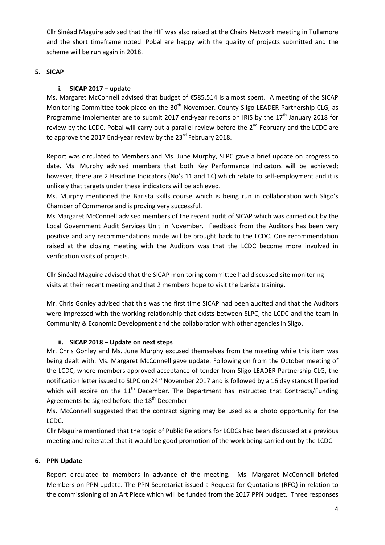Cllr Sinéad Maguire advised that the HIF was also raised at the Chairs Network meeting in Tullamore and the short timeframe noted. Pobal are happy with the quality of projects submitted and the scheme will be run again in 2018.

## **5. SICAP**

### **i. SICAP 2017 – update**

Ms. Margaret McConnell advised that budget of €585,514 is almost spent. A meeting of the SICAP Monitoring Committee took place on the  $30<sup>th</sup>$  November. County Sligo LEADER Partnership CLG, as Programme Implementer are to submit 2017 end-year reports on IRIS by the  $17<sup>th</sup>$  January 2018 for review by the LCDC. Pobal will carry out a parallel review before the 2<sup>nd</sup> February and the LCDC are to approve the 2017 End-year review by the 23<sup>rd</sup> February 2018.

Report was circulated to Members and Ms. June Murphy, SLPC gave a brief update on progress to date. Ms. Murphy advised members that both Key Performance Indicators will be achieved; however, there are 2 Headline Indicators (No's 11 and 14) which relate to self-employment and it is unlikely that targets under these indicators will be achieved.

Ms. Murphy mentioned the Barista skills course which is being run in collaboration with Sligo's Chamber of Commerce and is proving very successful.

Ms Margaret McConnell advised members of the recent audit of SICAP which was carried out by the Local Government Audit Services Unit in November. Feedback from the Auditors has been very positive and any recommendations made will be brought back to the LCDC. One recommendation raised at the closing meeting with the Auditors was that the LCDC become more involved in verification visits of projects.

Cllr Sinéad Maguire advised that the SICAP monitoring committee had discussed site monitoring visits at their recent meeting and that 2 members hope to visit the barista training.

Mr. Chris Gonley advised that this was the first time SICAP had been audited and that the Auditors were impressed with the working relationship that exists between SLPC, the LCDC and the team in Community & Economic Development and the collaboration with other agencies in Sligo.

#### **ii. SICAP 2018 – Update on next steps**

Mr. Chris Gonley and Ms. June Murphy excused themselves from the meeting while this item was being dealt with. Ms. Margaret McConnell gave update. Following on from the October meeting of the LCDC, where members approved acceptance of tender from Sligo LEADER Partnership CLG, the notification letter issued to SLPC on 24<sup>th</sup> November 2017 and is followed by a 16 day standstill period which will expire on the  $11<sup>th</sup>$  December. The Department has instructed that Contracts/Funding Agreements be signed before the 18<sup>th</sup> December

Ms. McConnell suggested that the contract signing may be used as a photo opportunity for the LCDC.

Cllr Maguire mentioned that the topic of Public Relations for LCDCs had been discussed at a previous meeting and reiterated that it would be good promotion of the work being carried out by the LCDC.

## **6. PPN Update**

Report circulated to members in advance of the meeting. Ms. Margaret McConnell briefed Members on PPN update. The PPN Secretariat issued a Request for Quotations (RFQ) in relation to the commissioning of an Art Piece which will be funded from the 2017 PPN budget. Three responses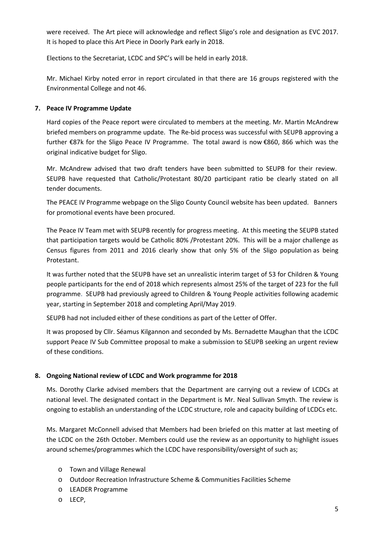were received. The Art piece will acknowledge and reflect Sligo's role and designation as EVC 2017. It is hoped to place this Art Piece in Doorly Park early in 2018.

Elections to the Secretariat, LCDC and SPC's will be held in early 2018.

Mr. Michael Kirby noted error in report circulated in that there are 16 groups registered with the Environmental College and not 46.

### **7. Peace IV Programme Update**

Hard copies of the Peace report were circulated to members at the meeting. Mr. Martin McAndrew briefed members on programme update. The Re-bid process was successful with SEUPB approving a further €87k for the Sligo Peace IV Programme. The total award is now €860, 866 which was the original indicative budget for Sligo.

Mr. McAndrew advised that two draft tenders have been submitted to SEUPB for their review. SEUPB have requested that Catholic/Protestant 80/20 participant ratio be clearly stated on all tender documents.

The PEACE IV Programme webpage on the Sligo County Council website has been updated. Banners for promotional events have been procured.

The Peace IV Team met with SEUPB recently for progress meeting. At this meeting the SEUPB stated that participation targets would be Catholic 80% /Protestant 20%. This will be a major challenge as Census figures from 2011 and 2016 clearly show that only 5% of the Sligo population as being Protestant.

It was further noted that the SEUPB have set an unrealistic interim target of 53 for Children & Young people participants for the end of 2018 which represents almost 25% of the target of 223 for the full programme. SEUPB had previously agreed to Children & Young People activities following academic year, starting in September 2018 and completing April/May 2019.

SEUPB had not included either of these conditions as part of the Letter of Offer.

It was proposed by Cllr. Séamus Kilgannon and seconded by Ms. Bernadette Maughan that the LCDC support Peace IV Sub Committee proposal to make a submission to SEUPB seeking an urgent review of these conditions.

#### **8. Ongoing National review of LCDC and Work programme for 2018**

Ms. Dorothy Clarke advised members that the Department are carrying out a review of LCDCs at national level. The designated contact in the Department is Mr. Neal Sullivan Smyth. The review is ongoing to establish an understanding of the LCDC structure, role and capacity building of LCDCs etc.

Ms. Margaret McConnell advised that Members had been briefed on this matter at last meeting of the LCDC on the 26th October. Members could use the review as an opportunity to highlight issues around schemes/programmes which the LCDC have responsibility/oversight of such as;

- o Town and Village Renewal
- o Outdoor Recreation Infrastructure Scheme & Communities Facilities Scheme
- o LEADER Programme
- o LECP,